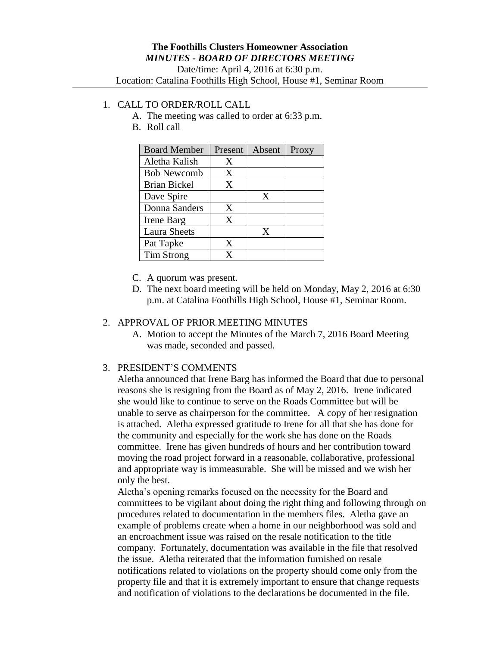## 1. CALL TO ORDER/ROLL CALL

- A. The meeting was called to order at 6:33 p.m.
- B. Roll call

| <b>Board Member</b> | Present | Absent | Proxy |
|---------------------|---------|--------|-------|
| Aletha Kalish       | Χ       |        |       |
| <b>Bob Newcomb</b>  | X       |        |       |
| Brian Bickel        | X       |        |       |
| Dave Spire          |         | X      |       |
| Donna Sanders       | X       |        |       |
| Irene Barg          | X       |        |       |
| <b>Laura Sheets</b> |         | X      |       |
| Pat Tapke           | X       |        |       |
| Tim Strong          | x       |        |       |

- C. A quorum was present.
- D. The next board meeting will be held on Monday, May 2, 2016 at 6:30 p.m. at Catalina Foothills High School, House #1, Seminar Room.

#### 2. APPROVAL OF PRIOR MEETING MINUTES

A. Motion to accept the Minutes of the March 7, 2016 Board Meeting was made, seconded and passed.

### 3. PRESIDENT'S COMMENTS

Aletha announced that Irene Barg has informed the Board that due to personal reasons she is resigning from the Board as of May 2, 2016. Irene indicated she would like to continue to serve on the Roads Committee but will be unable to serve as chairperson for the committee. A copy of her resignation is attached. Aletha expressed gratitude to Irene for all that she has done for the community and especially for the work she has done on the Roads committee. Irene has given hundreds of hours and her contribution toward moving the road project forward in a reasonable, collaborative, professional and appropriate way is immeasurable. She will be missed and we wish her only the best.

Aletha's opening remarks focused on the necessity for the Board and committees to be vigilant about doing the right thing and following through on procedures related to documentation in the members files. Aletha gave an example of problems create when a home in our neighborhood was sold and an encroachment issue was raised on the resale notification to the title company. Fortunately, documentation was available in the file that resolved the issue. Aletha reiterated that the information furnished on resale notifications related to violations on the property should come only from the property file and that it is extremely important to ensure that change requests and notification of violations to the declarations be documented in the file.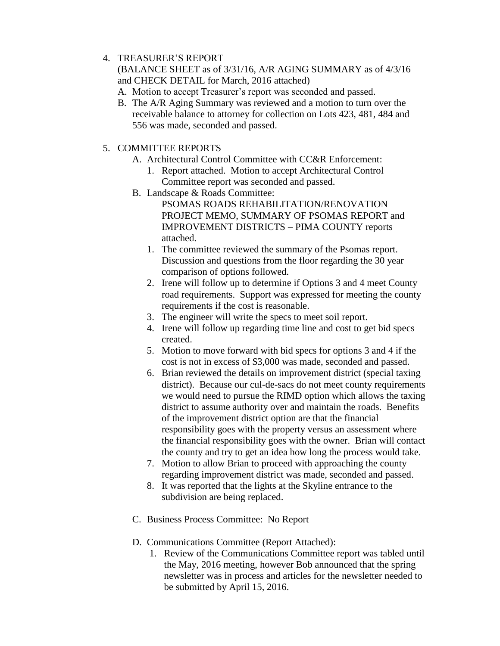# 4. TREASURER'S REPORT

(BALANCE SHEET as of 3/31/16, A/R AGING SUMMARY as of 4/3/16 and CHECK DETAIL for March, 2016 attached)

- A. Motion to accept Treasurer's report was seconded and passed.
- B. The A/R Aging Summary was reviewed and a motion to turn over the receivable balance to attorney for collection on Lots 423, 481, 484 and 556 was made, seconded and passed.

# 5. COMMITTEE REPORTS

- A. Architectural Control Committee with CC&R Enforcement:
	- 1. Report attached. Motion to accept Architectural Control Committee report was seconded and passed.
- B. Landscape & Roads Committee:
	- PSOMAS ROADS REHABILITATION/RENOVATION PROJECT MEMO, SUMMARY OF PSOMAS REPORT and IMPROVEMENT DISTRICTS – PIMA COUNTY reports attached.
	- 1. The committee reviewed the summary of the Psomas report. Discussion and questions from the floor regarding the 30 year comparison of options followed.
	- 2. Irene will follow up to determine if Options 3 and 4 meet County road requirements. Support was expressed for meeting the county requirements if the cost is reasonable.
	- 3. The engineer will write the specs to meet soil report.
	- 4. Irene will follow up regarding time line and cost to get bid specs created.
	- 5. Motion to move forward with bid specs for options 3 and 4 if the cost is not in excess of \$3,000 was made, seconded and passed.
	- 6. Brian reviewed the details on improvement district (special taxing district). Because our cul-de-sacs do not meet county requirements we would need to pursue the RIMD option which allows the taxing district to assume authority over and maintain the roads. Benefits of the improvement district option are that the financial responsibility goes with the property versus an assessment where the financial responsibility goes with the owner. Brian will contact the county and try to get an idea how long the process would take.
	- 7. Motion to allow Brian to proceed with approaching the county regarding improvement district was made, seconded and passed.
	- 8. It was reported that the lights at the Skyline entrance to the subdivision are being replaced.
- C. Business Process Committee: No Report
- D. Communications Committee (Report Attached):
	- 1. Review of the Communications Committee report was tabled until the May, 2016 meeting, however Bob announced that the spring newsletter was in process and articles for the newsletter needed to be submitted by April 15, 2016.